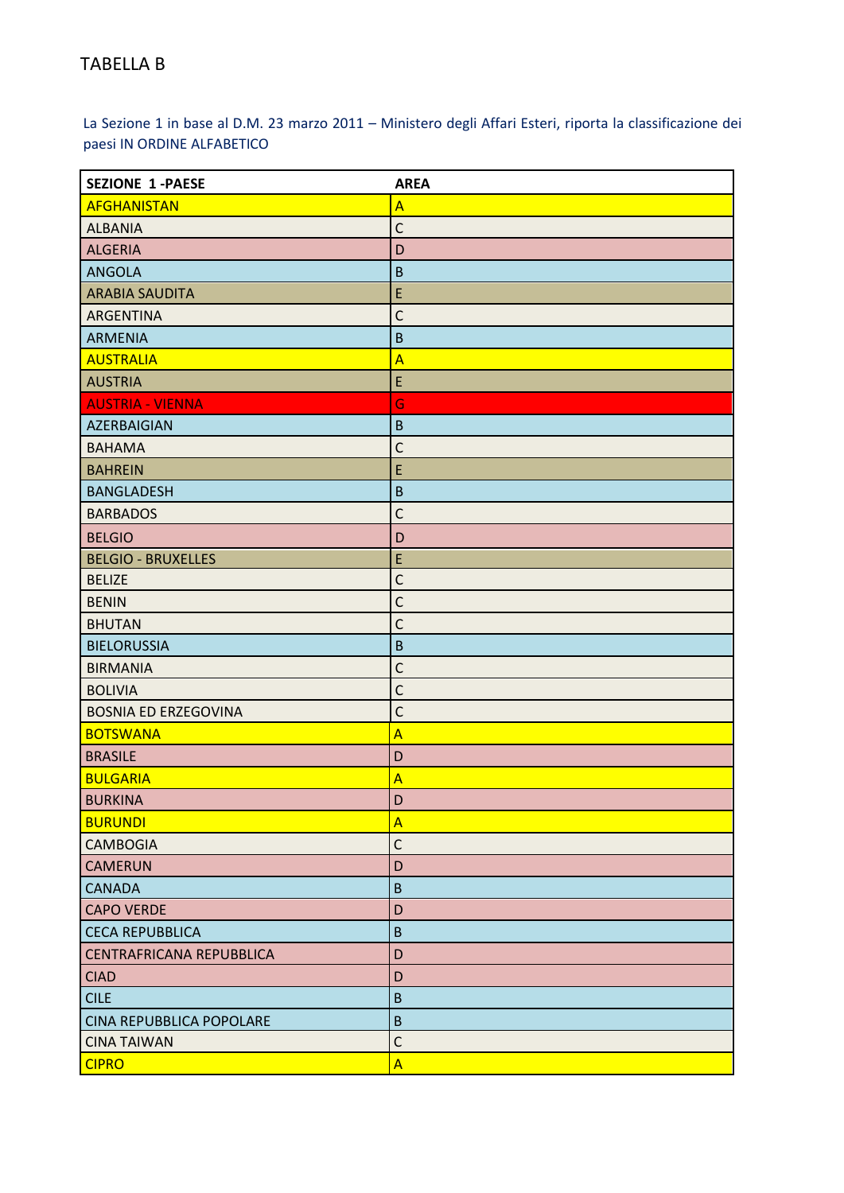La Sezione 1 in base al D.M. 23 marzo 2011 – Ministero degli Affari Esteri, riporta la classificazione dei paesi IN ORDINE ALFABETICO

| <b>SEZIONE 1-PAESE</b>          | <b>AREA</b>             |
|---------------------------------|-------------------------|
| <b>AFGHANISTAN</b>              | $\overline{A}$          |
| <b>ALBANIA</b>                  | $\mathsf{C}$            |
| <b>ALGERIA</b>                  | D                       |
| <b>ANGOLA</b>                   | $\mathsf B$             |
| <b>ARABIA SAUDITA</b>           | E                       |
| ARGENTINA                       | $\mathsf C$             |
| <b>ARMENIA</b>                  | $\overline{B}$          |
| <b>AUSTRALIA</b>                | $\overline{A}$          |
| <b>AUSTRIA</b>                  | E                       |
| <b>AUSTRIA - VIENNA</b>         | G                       |
| AZERBAIGIAN                     | $\sf B$                 |
| <b>BAHAMA</b>                   | $\mathsf{C}$            |
| <b>BAHREIN</b>                  | E                       |
| <b>BANGLADESH</b>               | $\sf B$                 |
| <b>BARBADOS</b>                 | $\mathsf C$             |
| <b>BELGIO</b>                   | D                       |
| <b>BELGIO - BRUXELLES</b>       | E                       |
| <b>BELIZE</b>                   | $\mathsf{C}$            |
| <b>BENIN</b>                    | $\mathsf{C}$            |
| <b>BHUTAN</b>                   | $\mathsf C$             |
| <b>BIELORUSSIA</b>              | $\sf B$                 |
| <b>BIRMANIA</b>                 | $\mathsf{C}$            |
| <b>BOLIVIA</b>                  | $\mathsf C$             |
| <b>BOSNIA ED ERZEGOVINA</b>     | $\mathsf{C}$            |
| <b>BOTSWANA</b>                 | $\overline{\mathsf{A}}$ |
| <b>BRASILE</b>                  | D                       |
| <b>BULGARIA</b>                 | $\overline{A}$          |
| <b>BURKINA</b>                  | D                       |
| <b>BURUNDI</b>                  | A                       |
| <b>CAMBOGIA</b>                 | $\mathsf C$             |
| <b>CAMERUN</b>                  | D                       |
| <b>CANADA</b>                   | $\sf B$                 |
| <b>CAPO VERDE</b>               | D                       |
| <b>CECA REPUBBLICA</b>          | $\sf B$                 |
| <b>CENTRAFRICANA REPUBBLICA</b> | D                       |
| <b>CIAD</b>                     | D                       |
| <b>CILE</b>                     | $\sf B$                 |
| CINA REPUBBLICA POPOLARE        | $\overline{B}$          |
| <b>CINA TAIWAN</b>              | $\mathsf{C}$            |
| <b>CIPRO</b>                    | $\overline{A}$          |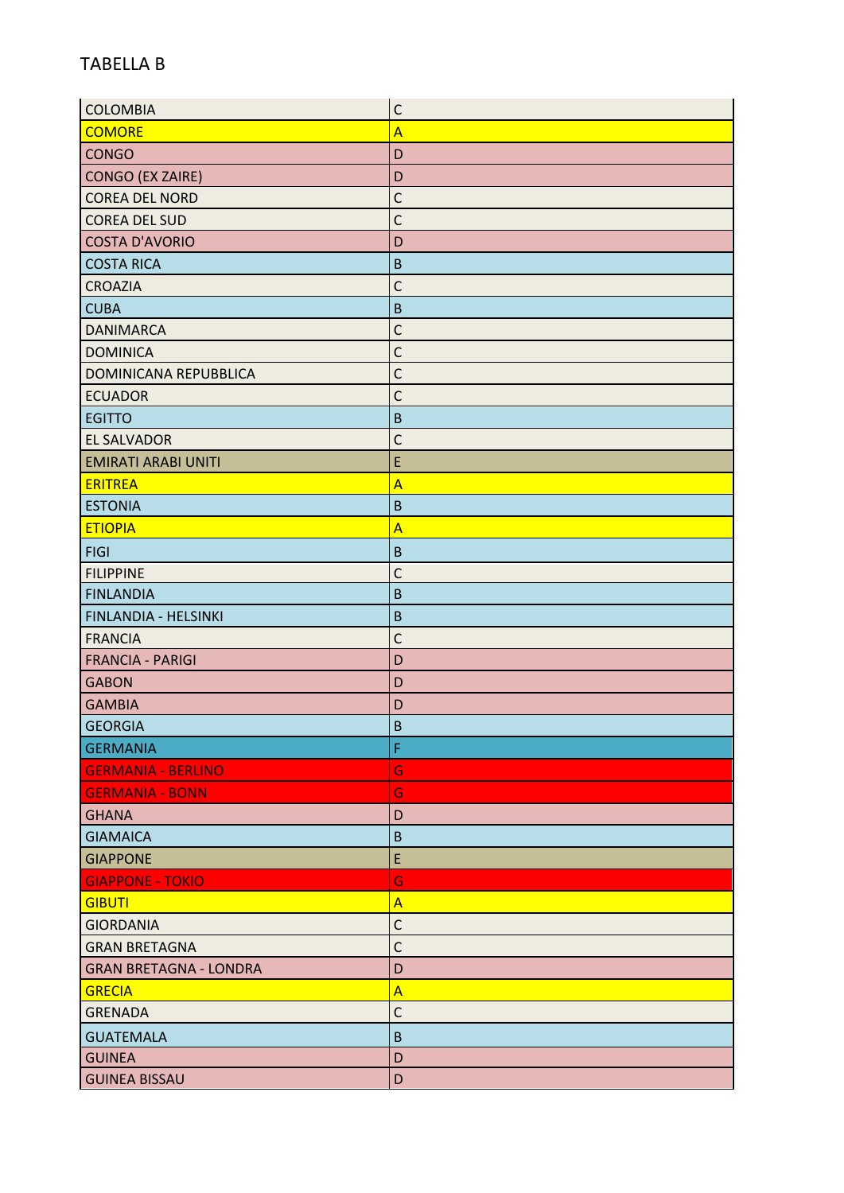| <b>COLOMBIA</b>               | $\mathsf{C}$            |
|-------------------------------|-------------------------|
| <b>COMORE</b>                 | $\overline{A}$          |
| <b>CONGO</b>                  | D                       |
| <b>CONGO (EX ZAIRE)</b>       | D                       |
| <b>COREA DEL NORD</b>         | $\mathsf{C}$            |
| <b>COREA DEL SUD</b>          | $\mathsf{C}$            |
| <b>COSTA D'AVORIO</b>         | D                       |
| <b>COSTA RICA</b>             | $\sf B$                 |
| <b>CROAZIA</b>                | $\mathsf{C}$            |
| <b>CUBA</b>                   | $\sf B$                 |
| <b>DANIMARCA</b>              | $\mathsf{C}$            |
| <b>DOMINICA</b>               | $\mathsf{C}$            |
| DOMINICANA REPUBBLICA         | $\mathsf{C}$            |
| <b>ECUADOR</b>                | $\mathsf{C}$            |
| <b>EGITTO</b>                 | $\sf B$                 |
| <b>EL SALVADOR</b>            | $\mathsf{C}$            |
| <b>EMIRATI ARABI UNITI</b>    | E                       |
| <b>ERITREA</b>                | $\overline{\mathsf{A}}$ |
| <b>ESTONIA</b>                | $\sf B$                 |
| <b>ETIOPIA</b>                | $\overline{\mathsf{A}}$ |
| <b>FIGI</b>                   | $\overline{B}$          |
| <b>FILIPPINE</b>              | $\mathsf{C}$            |
| <b>FINLANDIA</b>              | $\overline{B}$          |
| FINLANDIA - HELSINKI          | $\overline{B}$          |
| <b>FRANCIA</b>                | $\mathsf{C}$            |
| <b>FRANCIA - PARIGI</b>       | D                       |
| <b>GABON</b>                  | D                       |
| <b>GAMBIA</b>                 | D                       |
| <b>GEORGIA</b>                | $\overline{B}$          |
| <b>GERMANIA</b>               | F                       |
| <b>GERMANIA - BERLINO</b>     | G                       |
| <b>GERMANIA - BONN</b>        | G                       |
| <b>GHANA</b>                  | D                       |
| <b>GIAMAICA</b>               | $\sf B$                 |
| <b>GIAPPONE</b>               | E                       |
| <b>GIAPPONE - TOKIO</b>       | Ġ                       |
| <b>GIBUTI</b>                 | A                       |
| <b>GIORDANIA</b>              | $\mathsf{C}$            |
| <b>GRAN BRETAGNA</b>          | $\mathsf{C}$            |
| <b>GRAN BRETAGNA - LONDRA</b> | D                       |
| <b>GRECIA</b>                 | $\overline{A}$          |
| <b>GRENADA</b>                | $\mathsf{C}$            |
| <b>GUATEMALA</b>              | $\sf B$                 |
| <b>GUINEA</b>                 | D                       |
| <b>GUINEA BISSAU</b>          | D                       |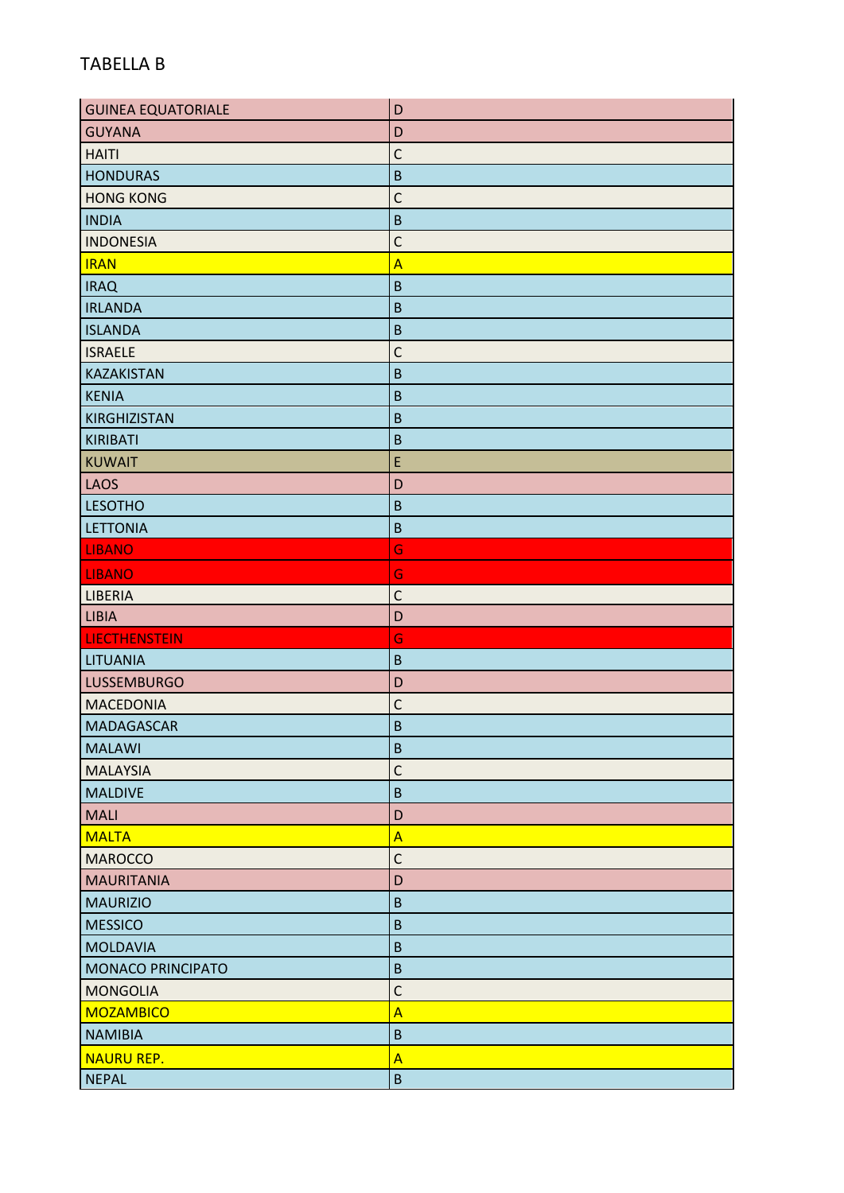| <b>GUINEA EQUATORIALE</b> | D              |
|---------------------------|----------------|
| <b>GUYANA</b>             | D              |
| <b>HAITI</b>              | $\mathsf{C}$   |
| <b>HONDURAS</b>           | $\sf B$        |
| <b>HONG KONG</b>          | $\mathsf C$    |
| <b>INDIA</b>              | $\overline{B}$ |
| <b>INDONESIA</b>          | $\mathsf C$    |
| <b>IRAN</b>               | $\overline{A}$ |
| <b>IRAQ</b>               | $\mathsf B$    |
| <b>IRLANDA</b>            | $\mathsf B$    |
| <b>ISLANDA</b>            | $\overline{B}$ |
| <b>ISRAELE</b>            | $\mathsf{C}$   |
| <b>KAZAKISTAN</b>         | $\mathsf B$    |
| <b>KENIA</b>              | $\mathsf B$    |
| <b>KIRGHIZISTAN</b>       | $\mathsf B$    |
| <b>KIRIBATI</b>           | $\sf B$        |
| <b>KUWAIT</b>             | E              |
| <b>LAOS</b>               | D              |
| <b>LESOTHO</b>            | $\sf B$        |
| <b>LETTONIA</b>           | $\overline{B}$ |
| <b>LIBANO</b>             | G              |
| <b>LIBANO</b>             | G              |
| LIBERIA                   | $\mathsf C$    |
| <b>LIBIA</b>              | D              |
| <b>LIECTHENSTEIN</b>      | G              |
| <b>LITUANIA</b>           | $\sf B$        |
| <b>LUSSEMBURGO</b>        | D              |
| <b>MACEDONIA</b>          | $\overline{C}$ |
| <b>MADAGASCAR</b>         | $\mathsf B$    |
| <b>MALAWI</b>             | $\sf B$        |
| <b>MALAYSIA</b>           | $\mathsf{C}$   |
| <b>MALDIVE</b>            | $\sf B$        |
| <b>MALI</b>               | D              |
| <b>MALTA</b>              | $\overline{A}$ |
| <b>MAROCCO</b>            | $\mathsf{C}$   |
| <b>MAURITANIA</b>         | D              |
| <b>MAURIZIO</b>           | $\sf B$        |
| <b>MESSICO</b>            | $\mathsf B$    |
| <b>MOLDAVIA</b>           | $\sf B$        |
| <b>MONACO PRINCIPATO</b>  | $\mathsf B$    |
| <b>MONGOLIA</b>           | $\mathsf C$    |
| <b>MOZAMBICO</b>          | $\overline{A}$ |
| <b>NAMIBIA</b>            | $\sf B$        |
| <b>NAURU REP.</b>         | $\overline{A}$ |
| <b>NEPAL</b>              | $\sf B$        |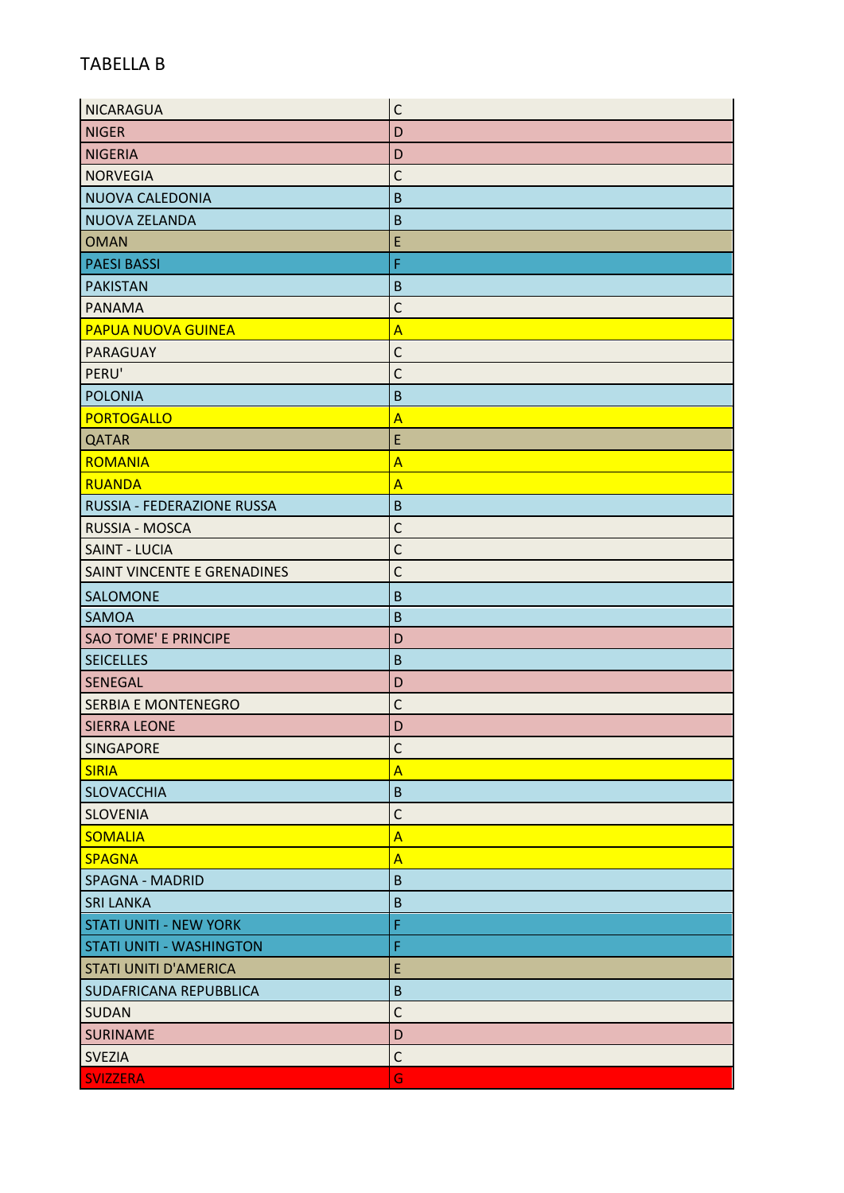| <b>NICARAGUA</b>                | $\mathsf{C}$            |
|---------------------------------|-------------------------|
| <b>NIGER</b>                    | D                       |
| <b>NIGERIA</b>                  | D                       |
| <b>NORVEGIA</b>                 | $\mathsf{C}$            |
| NUOVA CALEDONIA                 | B                       |
| NUOVA ZELANDA                   | $\overline{B}$          |
| <b>OMAN</b>                     | E                       |
| <b>PAESI BASSI</b>              | F                       |
| <b>PAKISTAN</b>                 | $\mathsf B$             |
| <b>PANAMA</b>                   | C                       |
| <b>PAPUA NUOVA GUINEA</b>       | $\overline{A}$          |
| PARAGUAY                        | $\mathsf{C}$            |
| PERU'                           | $\mathsf{C}$            |
| <b>POLONIA</b>                  | $\mathsf B$             |
| <b>PORTOGALLO</b>               | $\overline{A}$          |
| <b>QATAR</b>                    | E                       |
| <b>ROMANIA</b>                  | $\overline{\mathsf{A}}$ |
| <b>RUANDA</b>                   | $\overline{A}$          |
| RUSSIA - FEDERAZIONE RUSSA      | $\mathsf B$             |
| RUSSIA - MOSCA                  | C                       |
| <b>SAINT - LUCIA</b>            | $\mathsf{C}$            |
| SAINT VINCENTE E GRENADINES     | C                       |
| SALOMONE                        | $\mathsf B$             |
| <b>SAMOA</b>                    | $\overline{B}$          |
| <b>SAO TOME' E PRINCIPE</b>     | D                       |
| <b>SEICELLES</b>                | $\overline{B}$          |
| <b>SENEGAL</b>                  | D                       |
| <b>SERBIA E MONTENEGRO</b>      | $\mathsf{C}$            |
| <b>SIERRA LEONE</b>             | D                       |
| <b>SINGAPORE</b>                | C                       |
| <b>SIRIA</b>                    | $\overline{\mathsf{A}}$ |
| <b>SLOVACCHIA</b>               | $\sf B$                 |
| <b>SLOVENIA</b>                 | $\mathsf{C}$            |
| <b>SOMALIA</b>                  | $\overline{\mathsf{A}}$ |
| <b>SPAGNA</b>                   | $\overline{A}$          |
| <b>SPAGNA - MADRID</b>          | $\sf B$                 |
| <b>SRI LANKA</b>                | $\mathsf B$             |
| <b>STATI UNITI - NEW YORK</b>   | F                       |
| <b>STATI UNITI - WASHINGTON</b> | F                       |
| <b>STATI UNITI D'AMERICA</b>    | E                       |
| SUDAFRICANA REPUBBLICA          | $\sf B$                 |
| <b>SUDAN</b>                    | $\mathsf{C}$            |
| <b>SURINAME</b>                 | D                       |
| <b>SVEZIA</b>                   | $\mathsf{C}$            |
| <b>SVIZZERA</b>                 | G                       |